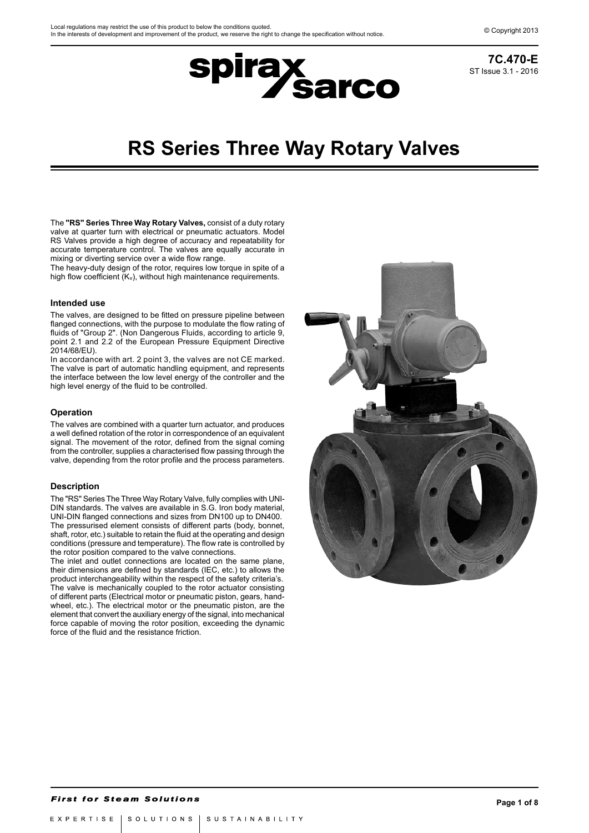

# **spirax<br>Sarco**

## **RS Series Three Way Rotary Valves**

The **"RS" Series Three Way Rotary Valves,** consist of a duty rotary valve at quarter turn with electrical or pneumatic actuators. Model RS Valves provide a high degree of accuracy and repeatability for accurate temperature control. The valves are equally accurate in mixing or diverting service over a wide flow range.

The heavy-duty design of the rotor, requires low torque in spite of a high flow coefficient  $(K_v)$ , without high maintenance requirements.

### **Intended use**

The valves, are designed to be fitted on pressure pipeline between flanged connections, with the purpose to modulate the flow rating of fluids of "Group 2". (Non Dangerous Fluids, according to article 9, point 2.1 and 2.2 of the European Pressure Equipment Directive .<br>2014/68/EU).

In accordance with art. 2 point 3, the valves are not CE marked. The valve is part of automatic handling equipment, and represents the interface between the low level energy of the controller and the high level energy of the fluid to be controlled.

### **Operation**

The valves are combined with a quarter turn actuator, and produces a well defined rotation of the rotor in correspondence of an equivalent signal. The movement of the rotor, defined from the signal coming from the controller, supplies a characterised flow passing through the valve, depending from the rotor profile and the process parameters.

#### **Description**

The "RS" Series The Three Way Rotary Valve, fully complies with UNI-DIN standards. The valves are available in S.G. Iron body material, UNI-DIN flanged connections and sizes from DN100 up to DN400. The pressurised element consists of different parts (body, bonnet, shaft, rotor, etc.) suitable to retain the fluid at the operating and design conditions (pressure and temperature). The flow rate is controlled by the rotor position compared to the valve connections.

The inlet and outlet connections are located on the same plane, their dimensions are defined by standards (IEC, etc.) to allows the product interchangeability within the respect of the safety criteria's. The valve is mechanically coupled to the rotor actuator consisting of different parts (Electrical motor or pneumatic piston, gears, handwheel, etc.). The electrical motor or the pneumatic piston, are the element that convert the auxiliary energy of the signal, into mechanical force capable of moving the rotor position, exceeding the dynamic force of the fluid and the resistance friction.

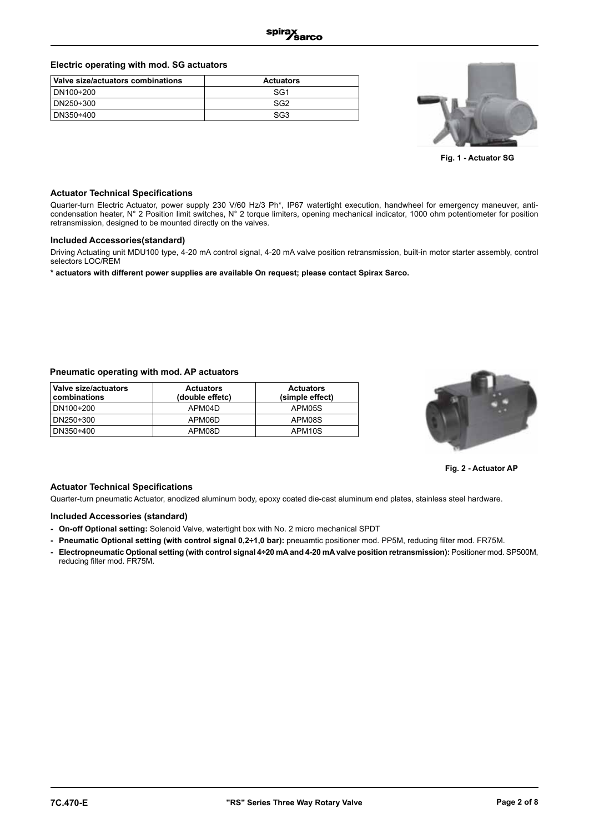### **Electric operating with mod. SG actuators**

| Valve size/actuators combinations | <b>Actuators</b> |
|-----------------------------------|------------------|
| DN100÷200                         | SG1              |
| DN250÷300                         | SG2              |
| DN350÷400                         | SG3              |



**Fig. 1 - Actuator SG**

### **Actuator Technical Specifications**

Quarter-turn Electric Actuator, power supply 230 V/60 Hz/3 Ph\*, IP67 watertight execution, handwheel for emergency maneuver, anticondensation heater, N° 2 Position limit switches, N° 2 torque limiters, opening mechanical indicator, 1000 ohm potentiometer for position retransmission, designed to be mounted directly on the valves.

### **Included Accessories(standard)**

Driving Actuating unit MDU100 type, 4-20 mA control signal, 4-20 mA valve position retransmission, built-in motor starter assembly, control selectors LOC/REM

**\* actuators with different power supplies are available On request; please contact Spirax Sarco.** 

### **Pneumatic operating with mod. AP actuators**

| Valve size/actuators<br>combinations | <b>Actuators</b><br>(double effetc) | <b>Actuators</b><br>(simple effect) |  |  |
|--------------------------------------|-------------------------------------|-------------------------------------|--|--|
| DN100÷200                            | APM04D                              | APM05S                              |  |  |
| DN250÷300                            | APM06D                              | APM08S                              |  |  |
| DN350÷400                            | APM08D                              | APM <sub>10S</sub>                  |  |  |



**Fig. 2 - Actuator AP**

### **Actuator Technical Specifications**

Quarter-turn pneumatic Actuator, anodized aluminum body, epoxy coated die-cast aluminum end plates, stainless steel hardware.

### **Included Accessories (standard)**

- **On-off Optional setting:** Solenoid Valve, watertight box with No. 2 micro mechanical SPDT
- **Pneumatic Optional setting (with control signal 0,2÷1,0 bar):** pneuamtic positioner mod. PP5M, reducing filter mod. FR75M.
- **Electropneumatic Optional setting (with control signal 4÷20 mA and 4-20 mA valve position retransmission):** Positioner mod. SP500M, reducing filter mod. FR75M.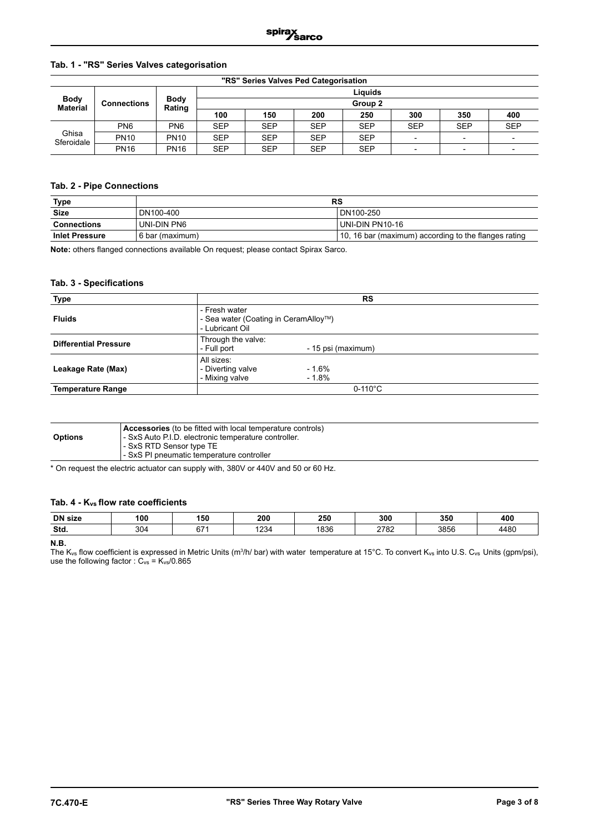### **Tab. 1 - "RS" Series Valves categorisation**

|                                | "RS" Series Valves Ped Categorisation |                       |                    |            |            |            |            |                          |            |  |  |  |  |
|--------------------------------|---------------------------------------|-----------------------|--------------------|------------|------------|------------|------------|--------------------------|------------|--|--|--|--|
|                                | <b>Connections</b>                    |                       |                    | Liauids    |            |            |            |                          |            |  |  |  |  |
| <b>Body</b><br><b>Material</b> |                                       | <b>Body</b><br>Rating | Group <sub>2</sub> |            |            |            |            |                          |            |  |  |  |  |
|                                |                                       |                       | 100                | 150        | 200        | 250        | 300        | 350                      | 400        |  |  |  |  |
|                                | PN <sub>6</sub>                       | PN <sub>6</sub>       | <b>SEP</b>         | <b>SEP</b> | <b>SEP</b> | <b>SEP</b> | <b>SEP</b> | <b>SEP</b>               | <b>SEP</b> |  |  |  |  |
| Ghisa<br>Sferoidale            | <b>PN10</b>                           | <b>PN10</b>           | <b>SEP</b>         | <b>SEP</b> | <b>SEP</b> | <b>SEP</b> |            | $\overline{\phantom{0}}$ |            |  |  |  |  |
|                                | <b>PN16</b>                           | <b>PN16</b>           | <b>SEP</b>         | <b>SEP</b> | <b>SEP</b> | <b>SEP</b> |            | $\overline{\phantom{0}}$ |            |  |  |  |  |

### **Tab. 2 - Pipe Connections**

| <u>Type</u>           | RS              |                                                      |  |  |  |  |  |  |
|-----------------------|-----------------|------------------------------------------------------|--|--|--|--|--|--|
| <b>Size</b>           | DN100-400       | DN100-250                                            |  |  |  |  |  |  |
| <b>Connections</b>    | UNI-DIN PN6     | l UNI-DIN PN10-16                                    |  |  |  |  |  |  |
| <b>Inlet Pressure</b> | 6 bar (maximum) | 10, 16 bar (maximum) according to the flanges rating |  |  |  |  |  |  |

**Note:** others flanged connections available On request; please contact Spirax Sarco.

### **Tab. 3 - Specifications**

| Type                         | <b>RS</b>                                                                |  |  |  |  |  |
|------------------------------|--------------------------------------------------------------------------|--|--|--|--|--|
| <b>Fluids</b>                | - Fresh water<br>- Sea water (Coating in CeramAlloy™)<br>- Lubricant Oil |  |  |  |  |  |
| <b>Differential Pressure</b> | Through the valve:<br>- Full port<br>- 15 psi (maximum)                  |  |  |  |  |  |
| Leakage Rate (Max)           | All sizes:<br>$-1.6%$<br>- Diverting valve<br>- Mixing valve<br>$-1.8%$  |  |  |  |  |  |
| <b>Temperature Range</b>     | $0-110^{\circ}$ C                                                        |  |  |  |  |  |

| <b>Accessories</b> (to be fitted with local temperature controls)<br>- SxS Auto P.I.D. electronic temperature controller.<br><b>Options</b><br>l - SxS RTD Sensor type TE<br>I - SxS PI pneumatic temperature controller |  |
|--------------------------------------------------------------------------------------------------------------------------------------------------------------------------------------------------------------------------|--|
|--------------------------------------------------------------------------------------------------------------------------------------------------------------------------------------------------------------------------|--|

\* On request the electric actuator can supply with, 380V or 440V and 50 or 60 Hz.

### **Tab. 4 - Kvs flow rate coefficients**

| <b>DN</b> size | 100 | 150    | 200  | 250  | 300  | 350  | 400  |
|----------------|-----|--------|------|------|------|------|------|
| Std.           | 304 | $\sim$ | 1234 | 1836 | 2782 | 3856 | 4480 |

### **N.B.**

The K<sub>vs</sub> flow coefficient is expressed in Metric Units (m $^3$ /h/ bar) with water temperature at 15°C. To convert K<sub>vs</sub> into U.S. C<sub>vs</sub> Units (gpm/psi), use the following factor :  $C_{vs}$  =  $K_{vs}/0.865$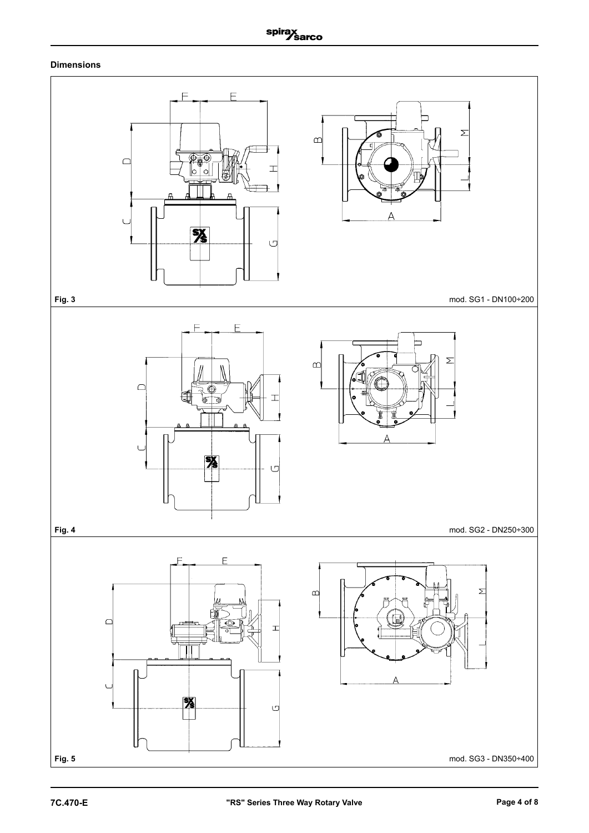### **Dimensions**

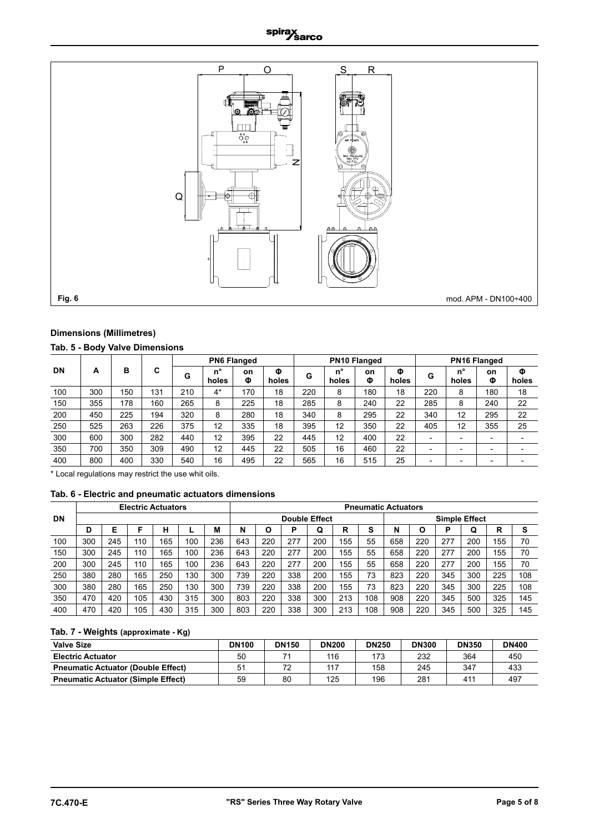### spirax<br>//sarco



### **Dimensions (Millimetres)**

### **Tab. 5 - Body Valve Dimensions**

|           |     |     |     |     |             | <b>PN6 Flanged</b> |            | <b>PN10 Flanged</b> |                      |         |            | <b>PN16 Flanged</b>      |                      |                          |            |
|-----------|-----|-----|-----|-----|-------------|--------------------|------------|---------------------|----------------------|---------|------------|--------------------------|----------------------|--------------------------|------------|
| <b>DN</b> | А   | в   | C   | G   | n°<br>holes | on<br>Φ            | Φ<br>holes | G                   | $n^{\circ}$<br>holes | on<br>Φ | Φ<br>holes | G                        | $n^{\circ}$<br>holes | <b>on</b><br>Φ           | Φ<br>holes |
| 100       | 300 | 150 | 131 | 210 | $4^*$       | 170                | 18         | 220                 | 8                    | 180     | 18         | 220                      | 8                    | 180                      | 18         |
| 150       | 355 | 178 | 160 | 265 | 8           | 225                | 18         | 285                 | 8                    | 240     | 22         | 285                      | 8                    | 240                      | 22         |
| 200       | 450 | 225 | 194 | 320 | 8           | 280                | 18         | 340                 | 8                    | 295     | 22         | 340                      | 12                   | 295                      | 22         |
| 250       | 525 | 263 | 226 | 375 | 12          | 335                | 18         | 395                 | 12                   | 350     | 22         | 405                      | 12                   | 355                      | 25         |
| 300       | 600 | 300 | 282 | 440 | 12          | 395                | 22         | 445                 | 12                   | 400     | 22         | $\overline{\phantom{0}}$ |                      | $\overline{\phantom{0}}$ |            |
| 350       | 700 | 350 | 309 | 490 | 12          | 445                | 22         | 505                 | 16                   | 460     | 22         | -                        |                      | $\overline{\phantom{0}}$ |            |
| 400       | 800 | 400 | 330 | 540 | 16          | 495                | 22         | 565                 | 16                   | 515     | 25         | ۰                        |                      | $\overline{\phantom{0}}$ |            |

\* Local regulations may restrict the use whit oils.

### **Tab. 6 - Electric and pneumatic actuators dimensions**

|           |     | <b>Electric Actuators</b> |     |     |     |     |                      | <b>Pneumatic Actuators</b> |     |     |     |                      |     |     |     |     |     |     |
|-----------|-----|---------------------------|-----|-----|-----|-----|----------------------|----------------------------|-----|-----|-----|----------------------|-----|-----|-----|-----|-----|-----|
| <b>DN</b> |     |                           |     |     |     |     | <b>Double Effect</b> |                            |     |     |     | <b>Simple Effect</b> |     |     |     |     |     |     |
|           | D   | Е                         |     | н   |     | М   | N                    |                            | D   | Q   | R   | c<br>Ð               | N   |     | P   | Q   | R   | s   |
| 100       | 300 | 245                       | 110 | 165 | 100 | 236 | 643                  | 220                        | 277 | 200 | 155 | 55                   | 658 | 220 | 277 | 200 | 155 | 70  |
| 150       | 300 | 245                       | 110 | 165 | 100 | 236 | 643                  | 220                        | 277 | 200 | 155 | 55                   | 658 | 220 | 277 | 200 | 155 | 70  |
| 200       | 300 | 245                       | 110 | 165 | 100 | 236 | 643                  | 220                        | 277 | 200 | 155 | 55                   | 658 | 220 | 277 | 200 | 155 | 70  |
| 250       | 380 | 280                       | 165 | 250 | 130 | 300 | 739                  | 220                        | 338 | 200 | 155 | 73                   | 823 | 220 | 345 | 300 | 225 | 108 |
| 300       | 380 | 280                       | 165 | 250 | 130 | 300 | 739                  | 220                        | 338 | 200 | 155 | 73                   | 823 | 220 | 345 | 300 | 225 | 108 |
| 350       | 470 | 420                       | 105 | 430 | 315 | 300 | 803                  | 220                        | 338 | 300 | 213 | 108                  | 908 | 220 | 345 | 500 | 325 | 145 |
| 400       | 470 | 420                       | 105 | 430 | 315 | 300 | 803                  | 220                        | 338 | 300 | 213 | 108                  | 908 | 220 | 345 | 500 | 325 | 145 |

### **Tab. 7 - Weights (approximate - Kg)**

| <b>Valve Size</b>                         | <b>DN100</b> | <b>DN150</b> | <b>DN200</b> | <b>DN250</b> | <b>DN300</b> | <b>DN350</b> | <b>DN400</b> |
|-------------------------------------------|--------------|--------------|--------------|--------------|--------------|--------------|--------------|
| <b>Electric Actuator</b>                  | 50           |              | 116          | 173          | 232          | 364          | 450          |
| <b>Pneumatic Actuator (Double Effect)</b> |              | 72           | 117          | 158          | 245          | 347          | 433          |
| <b>Pneumatic Actuator (Simple Effect)</b> | 59           | 80           | 125          | 196          | 281          | 411          | 497          |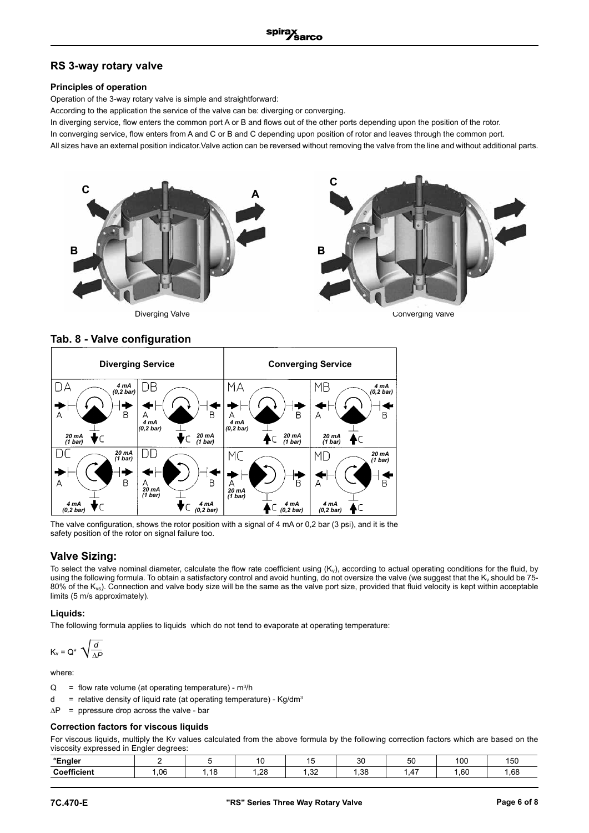### **RS 3-way rotary valve**

### **Principles of operation**

Operation of the 3-way rotary valve is simple and straightforward:

According to the application the service of the valve can be: diverging or converging.

In diverging service, flow enters the common port A or B and flows out of the other ports depending upon the position of the rotor.

In converging service, flow enters from A and C or B and C depending upon position of rotor and leaves through the common port.

All sizes have an external position indicator.Valve action can be reversed without removing the valve from the line and without additional parts.



Diverging Valve

Converging Valve

4

R

B

#### **Diverging Service Converging Service**  $\overline{D}$ A DB MA **MB** *4 mA (0,2 bar) 4 mA (0,2 bar)* B B  $\overline{A}$ Δ  $\mathsf{B}$ Δ *4 mA (0,2 bar) 4 mA (0,2 bar) 20 mA (1 bar)* Ċ *20 mA (1 bar)*  $\subset$ *20 mA (1 bar) 20 mA (1 bar)* DC DD *20 mA (1 bar)* MC MD *20 mA (1 bar)*  $\overline{B}$ B A A *20 mA (1 bar) 20 mA (1 bar) 4 mA (0,2 bar) 4 mA (0,2 bar) 4 mA (0,2 bar) 4 mA (0,2 bar)* ◤ ▼⊂ C

The valve configuration, shows the rotor position with a signal of 4 mA or 0,2 bar (3 psi), and it is the safety position of the rotor on signal failure too.

### **Valve Sizing:**

To select the valve nominal diameter, calculate the flow rate coefficient using  $(K_v)$ , according to actual operating conditions for the fluid, by using the following formula. To obtain a satisfactory control and avoid hunting, do not oversize the valve (we suggest that the K<sub>v</sub> should be 75-80% of the  $K_{vs}$ ). Connection and valve body size will be the same as the valve port size, provided that fluid velocity is kept within acceptable limits (5 m/s approximately).

### **Liquids:**

The following formula applies to liquids which do not tend to evaporate at operating temperature:

$$
K_v = Q^* \sqrt{\frac{d}{\Delta P}}
$$

where:

- $Q = f$  flow rate volume (at operating temperature) m<sup>3</sup>/h
- d = relative density of liquid rate (at operating temperature)  $\text{Kg/dm}^3$
- $\Delta P$  = ppressure drop across the valve bar

### **Correction factors for viscous liquids**

For viscous liquids, multiply the Kv values calculated from the above formula by the following correction factors which are based on the viscosity expressed in Engler degrees:

| °Engler     |     |     |             |                 | o٥<br>◡ | $ \sim$<br>ວບ<br>$ -$ | 100 | $\epsilon$<br>15V |
|-------------|-----|-----|-------------|-----------------|---------|-----------------------|-----|-------------------|
| Coefficient | .06 | a c | ററ<br>ة∠, ا | $\Omega$<br>ے ب | .38     | $\sqrt{ }$<br>, די    | .60 | l.68              |

**Tab. 8 - Valve configuration**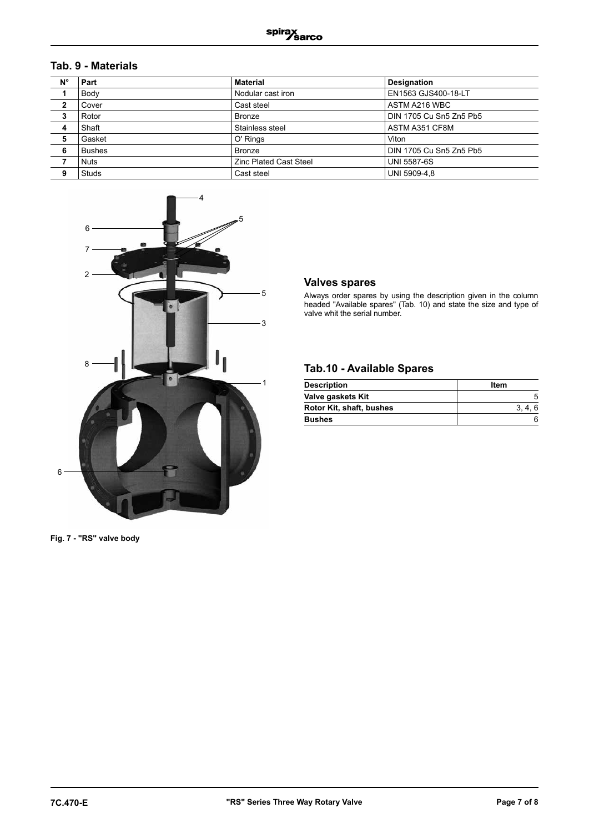### **Tab. 9 - Materials**

| $N^{\circ}$  | Part          | <b>Material</b>               | <b>Designation</b>      |
|--------------|---------------|-------------------------------|-------------------------|
|              | Body          | Nodular cast iron             | EN1563 GJS400-18-LT     |
| $\mathbf{2}$ | Cover         | Cast steel                    | ASTM A216 WBC           |
| 3            | Rotor         | Bronze                        | DIN 1705 Cu Sn5 Zn5 Pb5 |
| 4            | Shaft         | Stainless steel               | ASTM A351 CF8M          |
| 5            | Gasket        | O' Rings                      | Viton                   |
| 6            | <b>Bushes</b> | <b>Bronze</b>                 | DIN 1705 Cu Sn5 Zn5 Pb5 |
| 7            | <b>Nuts</b>   | <b>Zinc Plated Cast Steel</b> | <b>UNI 5587-6S</b>      |
| 9            | <b>Studs</b>  | Cast steel                    | UNI 5909-4.8            |



### **Valves spares**

Always order spares by using the description given in the column headed "Available spares" (Tab. 10) and state the size and type of valve whit the serial number.

### **Tab.10 - Available Spares**

| <b>Description</b>       | Item |
|--------------------------|------|
| Valve gaskets Kit        |      |
| Rotor Kit, shaft, bushes |      |
| <b>Bushes</b>            |      |

**Fig. 7 - "RS" valve body**